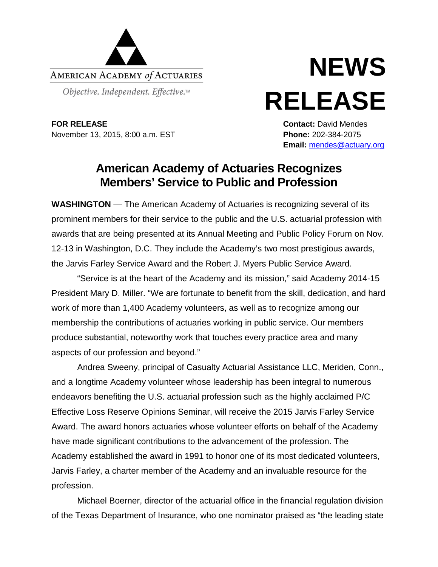

# **NEWS RELEASE**

**FOR RELEASE Contact:** David Mendes November 13, 2015, 8:00 a.m. EST **Phone:** 202-384-2075

**Email:** [mendes@actuary.org](mailto:mendes@actuary.org)

# **American Academy of Actuaries Recognizes Members' Service to Public and Profession**

**WASHINGTON** — The American Academy of Actuaries is recognizing several of its prominent members for their service to the public and the U.S. actuarial profession with awards that are being presented at its Annual Meeting and Public Policy Forum on Nov. 12-13 in Washington, D.C. They include the Academy's two most prestigious awards, the Jarvis Farley Service Award and the Robert J. Myers Public Service Award.

"Service is at the heart of the Academy and its mission," said Academy 2014-15 President Mary D. Miller. "We are fortunate to benefit from the skill, dedication, and hard work of more than 1,400 Academy volunteers, as well as to recognize among our membership the contributions of actuaries working in public service. Our members produce substantial, noteworthy work that touches every practice area and many aspects of our profession and beyond."

Andrea Sweeny, principal of Casualty Actuarial Assistance LLC, Meriden, Conn., and a longtime Academy volunteer whose leadership has been integral to numerous endeavors benefiting the U.S. actuarial profession such as the highly acclaimed P/C Effective Loss Reserve Opinions Seminar, will receive the 2015 Jarvis Farley Service Award. The award honors actuaries whose volunteer efforts on behalf of the Academy have made significant contributions to the advancement of the profession. The Academy established the award in 1991 to honor one of its most dedicated volunteers, Jarvis Farley, a charter member of the Academy and an invaluable resource for the profession.

Michael Boerner, director of the actuarial office in the financial regulation division of the Texas Department of Insurance, who one nominator praised as "the leading state